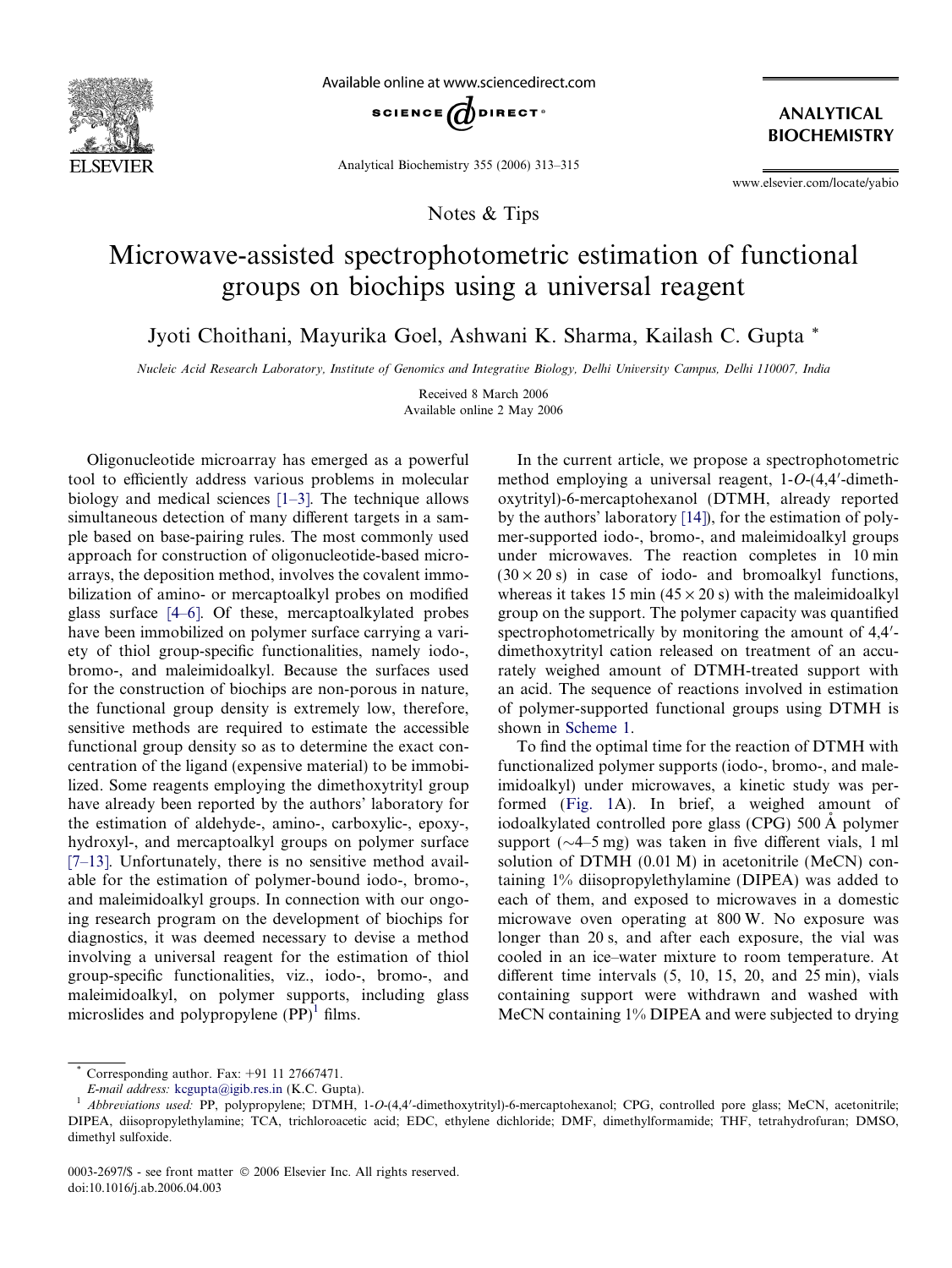

Available online at www.sciencedirect.com



Analytical Biochemistry 355 (2006) 313–315

Notes & Tips

ANALYTICAL BIOCHEMISTRY

www.elsevier.com/locate/yabio

## Microwave-assisted spectrophotometric estimation of functional groups on biochips using a universal reagent

Jyoti Choithani, Mayurika Goel, Ashwani K. Sharma, Kailash C. Gupta \*

Nucleic Acid Research Laboratory, Institute of Genomics and Integrative Biology, Delhi University Campus, Delhi 110007, India

Received 8 March 2006 Available online 2 May 2006

Oligonucleotide microarray has emerged as a powerful tool to efficiently address various problems in molecular biology and medical sciences [\[1–3\].](#page-2-0) The technique allows simultaneous detection of many different targets in a sample based on base-pairing rules. The most commonly used approach for construction of oligonucleotide-based microarrays, the deposition method, involves the covalent immobilization of amino- or mercaptoalkyl probes on modified glass surface [\[4–6\]](#page-2-0). Of these, mercaptoalkylated probes have been immobilized on polymer surface carrying a variety of thiol group-specific functionalities, namely iodo-, bromo-, and maleimidoalkyl. Because the surfaces used for the construction of biochips are non-porous in nature, the functional group density is extremely low, therefore, sensitive methods are required to estimate the accessible functional group density so as to determine the exact concentration of the ligand (expensive material) to be immobilized. Some reagents employing the dimethoxytrityl group have already been reported by the authors' laboratory for the estimation of aldehyde-, amino-, carboxylic-, epoxy-, hydroxyl-, and mercaptoalkyl groups on polymer surface [\[7–13\].](#page-2-0) Unfortunately, there is no sensitive method available for the estimation of polymer-bound iodo-, bromo-, and maleimidoalkyl groups. In connection with our ongoing research program on the development of biochips for diagnostics, it was deemed necessary to devise a method involving a universal reagent for the estimation of thiol group-specific functionalities, viz., iodo-, bromo-, and maleimidoalkyl, on polymer supports, including glass microslides and polypropylene  $(PP)^1$  films.

In the current article, we propose a spectrophotometric method employing a universal reagent,  $1-O-(4,4'-d)$ oxytrityl)-6-mercaptohexanol (DTMH, already reported by the authors' laboratory [\[14\]\)](#page-2-0), for the estimation of polymer-supported iodo-, bromo-, and maleimidoalkyl groups under microwaves. The reaction completes in 10 min  $(30 \times 20 \text{ s})$  in case of iodo- and bromoalkyl functions, whereas it takes 15 min ( $45 \times 20$  s) with the maleimidoalkyl group on the support. The polymer capacity was quantified spectrophotometrically by monitoring the amount of  $4,4'$ dimethoxytrityl cation released on treatment of an accurately weighed amount of DTMH-treated support with an acid. The sequence of reactions involved in estimation of polymer-supported functional groups using DTMH is shown in [Scheme 1.](#page-1-0)

To find the optimal time for the reaction of DTMH with functionalized polymer supports (iodo-, bromo-, and maleimidoalkyl) under microwaves, a kinetic study was performed [\(Fig. 1A](#page-1-0)). In brief, a weighed amount of iodoalkylated controlled pore glass (CPG) 500 A polymer support ( $\sim$ 4–5 mg) was taken in five different vials, 1 ml solution of DTMH (0.01 M) in acetonitrile (MeCN) containing 1% diisopropylethylamine (DIPEA) was added to each of them, and exposed to microwaves in a domestic microwave oven operating at 800 W. No exposure was longer than 20 s, and after each exposure, the vial was cooled in an ice–water mixture to room temperature. At different time intervals (5, 10, 15, 20, and 25 min), vials containing support were withdrawn and washed with MeCN containing 1% DIPEA and were subjected to drying

Corresponding author. Fax:  $+91$  11 27667471.

E-mail address: [kcgupta@igib.res.in](mailto:<?tul=0?>kcgupta<?tul?>@<?tul=0?>igib<?tul?>.res.in) (K.C. Gupta).<br><sup>1</sup> Abbreviations used: PP, polypropylene; DTMH, 1-O-(4,4'-dimethoxytrityl)-6-mercaptohexanol; CPG, controlled pore glass; MeCN, acetonitrile; DIPEA, diisopropylethylamine; TCA, trichloroacetic acid; EDC, ethylene dichloride; DMF, dimethylformamide; THF, tetrahydrofuran; DMSO, dimethyl sulfoxide.

<sup>0003-2697/\$ -</sup> see front matter © 2006 Elsevier Inc. All rights reserved. doi:10.1016/j.ab.2006.04.003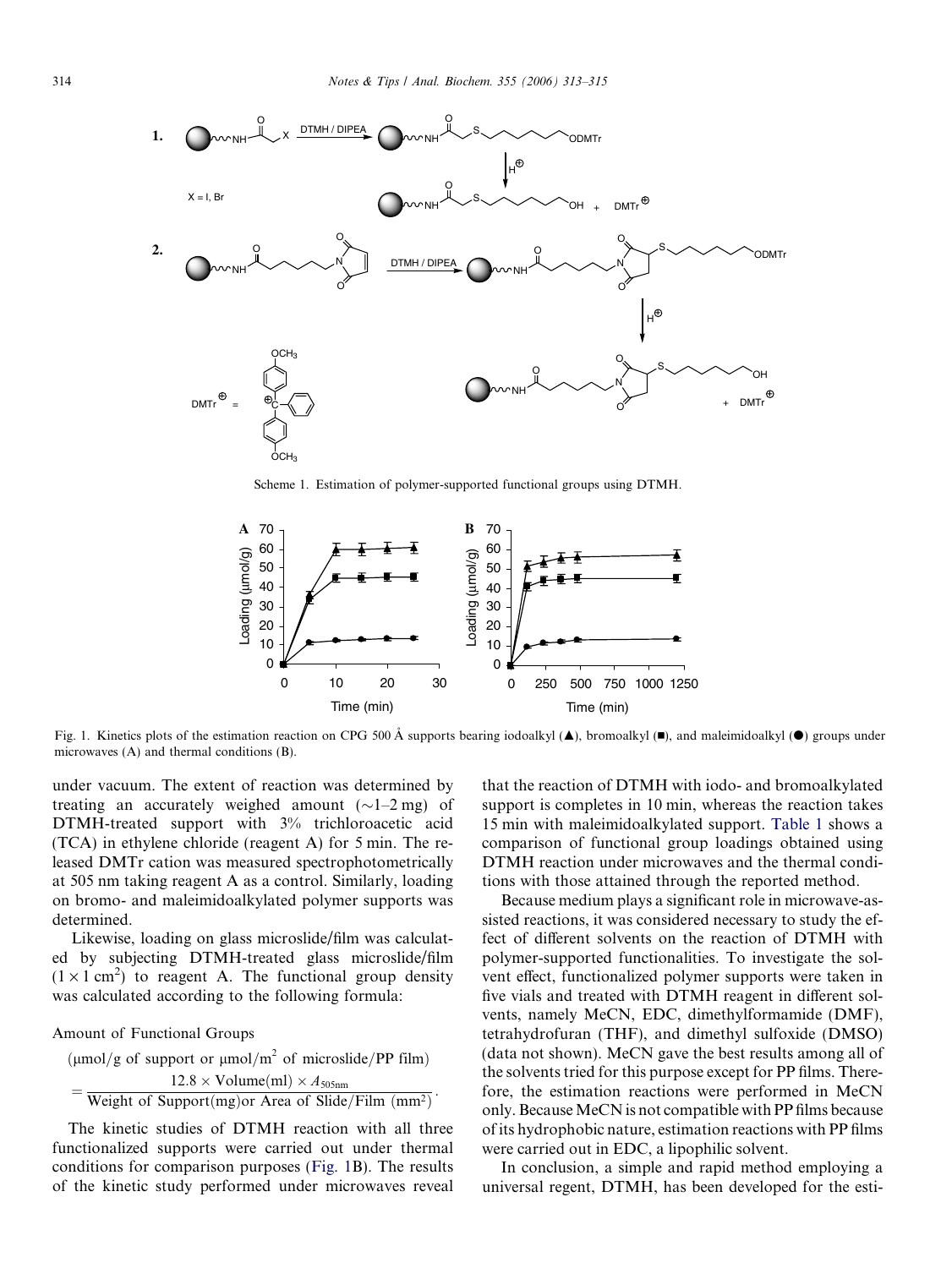<span id="page-1-0"></span>

Scheme 1. Estimation of polymer-supported functional groups using DTMH.



Fig. 1. Kinetics plots of the estimation reaction on CPG 500 Å supports bearing iodoalkyl ( $\blacktriangle$ ), bromoalkyl ( $\blacktriangleright$ ), and maleimidoalkyl ( $\blacktriangleright$ ) groups under microwaves (A) and thermal conditions (B).

under vacuum. The extent of reaction was determined by treating an accurately weighed amount  $(\sim]1-2$  mg) of DTMH-treated support with 3% trichloroacetic acid (TCA) in ethylene chloride (reagent A) for 5 min. The released DMTr cation was measured spectrophotometrically at 505 nm taking reagent A as a control. Similarly, loading on bromo- and maleimidoalkylated polymer supports was determined.

Likewise, loading on glass microslide/film was calculated by subjecting DTMH-treated glass microslide/film  $(1 \times 1 \text{ cm}^2)$  to reagent A. The functional group density was calculated according to the following formula:

Amount of Functional Groups

( $\mu$ mol/g of support or  $\mu$ mol/m<sup>2</sup> of microslide/PP film)  $=\frac{12.8 \times \text{Volume}(ml) \times A_{505nm}}{\text{Weight of Support}(mg) \text{ or Area of Silde/Film } (mm^2)}$ .

The kinetic studies of DTMH reaction with all three functionalized supports were carried out under thermal conditions for comparison purposes (Fig. 1B). The results of the kinetic study performed under microwaves reveal that the reaction of DTMH with iodo- and bromoalkylated support is completes in 10 min, whereas the reaction takes 15 min with maleimidoalkylated support. [Table 1](#page-2-0) shows a comparison of functional group loadings obtained using DTMH reaction under microwaves and the thermal conditions with those attained through the reported method.

Because medium plays a significant role in microwave-assisted reactions, it was considered necessary to study the effect of different solvents on the reaction of DTMH with polymer-supported functionalities. To investigate the solvent effect, functionalized polymer supports were taken in five vials and treated with DTMH reagent in different solvents, namely MeCN, EDC, dimethylformamide (DMF), tetrahydrofuran (THF), and dimethyl sulfoxide (DMSO) (data not shown). MeCN gave the best results among all of the solvents tried for this purpose except for PP films. Therefore, the estimation reactions were performed in MeCN only. Because MeCN is not compatible with PP films because of its hydrophobic nature, estimation reactions with PP films were carried out in EDC, a lipophilic solvent.

In conclusion, a simple and rapid method employing a universal regent, DTMH, has been developed for the esti-